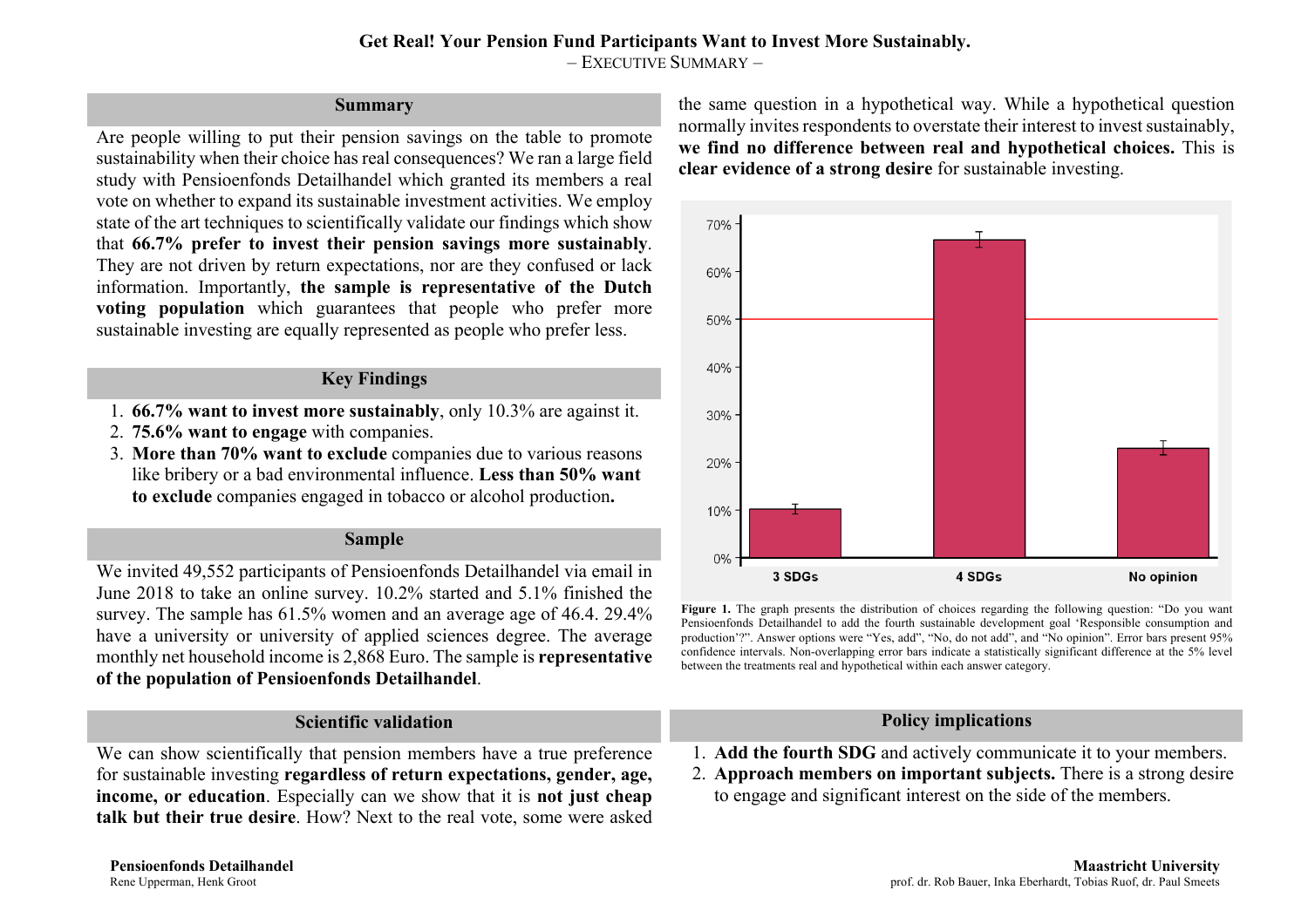#### **Get Real! Your Pension Fund Participants Want to Invest More Sustainably.** – EXECUTIVE SUMMARY –

## **Summary**

Are people willing to put their pension savings on the table to promote sustainability when their choice has real consequences? We ran a large field study with Pensioenfonds Detailhandel which granted its members a real vote on whether to expand its sustainable investment activities. We employ state of the art techniques to scientifically validate our findings which show that **66.7% prefer to invest their pension savings more sustainably**. They are not driven by return expectations, nor are they confused or lack information. Importantly, **the sample is representative of the Dutch voting population** which guarantees that people who prefer more sustainable investing are equally represented as people who prefer less.

# **Key Findings**

- 1. **66.7% want to invest more sustainably**, only 10.3% are against it.
- 2. **75.6% want to engage** with companies.
- 3. **More than 70% want to exclude** companies due to various reasons like bribery or a bad environmental influence. **Less than 50% want to exclude** companies engaged in tobacco or alcohol production**.**

## **Sample**

We invited 49,552 participants of Pensioenfonds Detailhandel via email in June 2018 to take an online survey. 10.2% started and 5.1% finished the survey. The sample has 61.5% women and an average age of 46.4. 29.4% have a university or university of applied sciences degree. The average monthly net household income is 2,868 Euro. The sample is **representative of the population of Pensioenfonds Detailhandel**.

# **Scientific validation**

We can show scientifically that pension members have a true preference for sustainable investing **regardless of return expectations, gender, age, income, or education**. Especially can we show that it is **not just cheap talk but their true desire**. How? Next to the real vote, some were asked the same question in a hypothetical way. While a hypothetical question normally invites respondents to overstate their interest to invest sustainably, **we find no difference between real and hypothetical choices.** This is **clear evidence of a strong desire** for sustainable investing.



**Figure 1.** The graph presents the distribution of choices regarding the following question: "Do you want Pensioenfonds Detailhandel to add the fourth sustainable development goal 'Responsible consumption and production'?". Answer options were "Yes, add", "No, do not add", and "No opinion". Error bars present 95% confidence intervals. Non-overlapping error bars indicate a statistically significant difference at the 5% level between the treatments real and hypothetical within each answer category.

## **Policy implications**

- 1. **Add the fourth SDG** and actively communicate it to your members.
- 2. **Approach members on important subjects.** There is a strong desire to engage and significant interest on the side of the members.